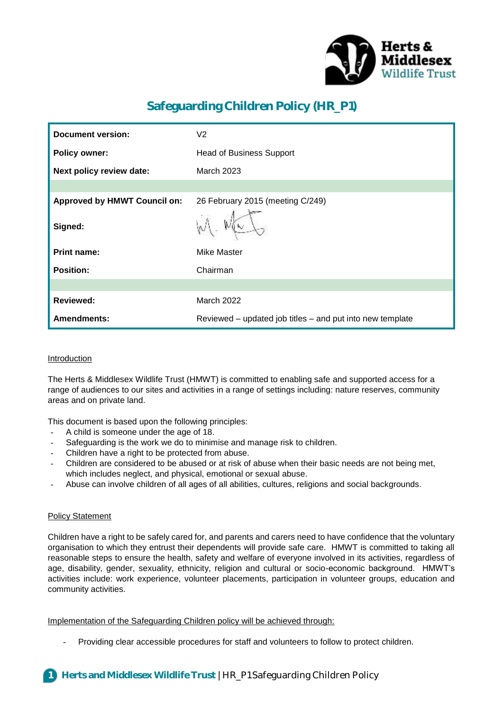

# **Safeguarding Children Policy (HR\_P1)**

| <b>Document version:</b>            | V <sub>2</sub>                                            |
|-------------------------------------|-----------------------------------------------------------|
| <b>Policy owner:</b>                | <b>Head of Business Support</b>                           |
| Next policy review date:            | <b>March 2023</b>                                         |
|                                     |                                                           |
| <b>Approved by HMWT Council on:</b> | 26 February 2015 (meeting C/249)                          |
| Signed:                             |                                                           |
| <b>Print name:</b>                  | <b>Mike Master</b>                                        |
| <b>Position:</b>                    | Chairman                                                  |
|                                     |                                                           |
| <b>Reviewed:</b>                    | March 2022                                                |
| <b>Amendments:</b>                  | Reviewed – updated job titles – and put into new template |

## Introduction

The Herts & Middlesex Wildlife Trust (HMWT) is committed to enabling safe and supported access for a range of audiences to our sites and activities in a range of settings including: nature reserves, community areas and on private land.

This document is based upon the following principles:

- A child is someone under the age of 18.
- Safeguarding is the work we do to minimise and manage risk to children.
- Children have a right to be protected from abuse.
- Children are considered to be abused or at risk of abuse when their basic needs are not being met, which includes neglect, and physical, emotional or sexual abuse.
- Abuse can involve children of all ages of all abilities, cultures, religions and social backgrounds.

#### Policy Statement

Children have a right to be safely cared for, and parents and carers need to have confidence that the voluntary organisation to which they entrust their dependents will provide safe care. HMWT is committed to taking all reasonable steps to ensure the health, safety and welfare of everyone involved in its activities, regardless of age, disability, gender, sexuality, ethnicity, religion and cultural or socio-economic background. HMWT's activities include: work experience, volunteer placements, participation in volunteer groups, education and community activities.

Implementation of the Safeguarding Children policy will be achieved through:

Providing clear accessible procedures for staff and volunteers to follow to protect children.